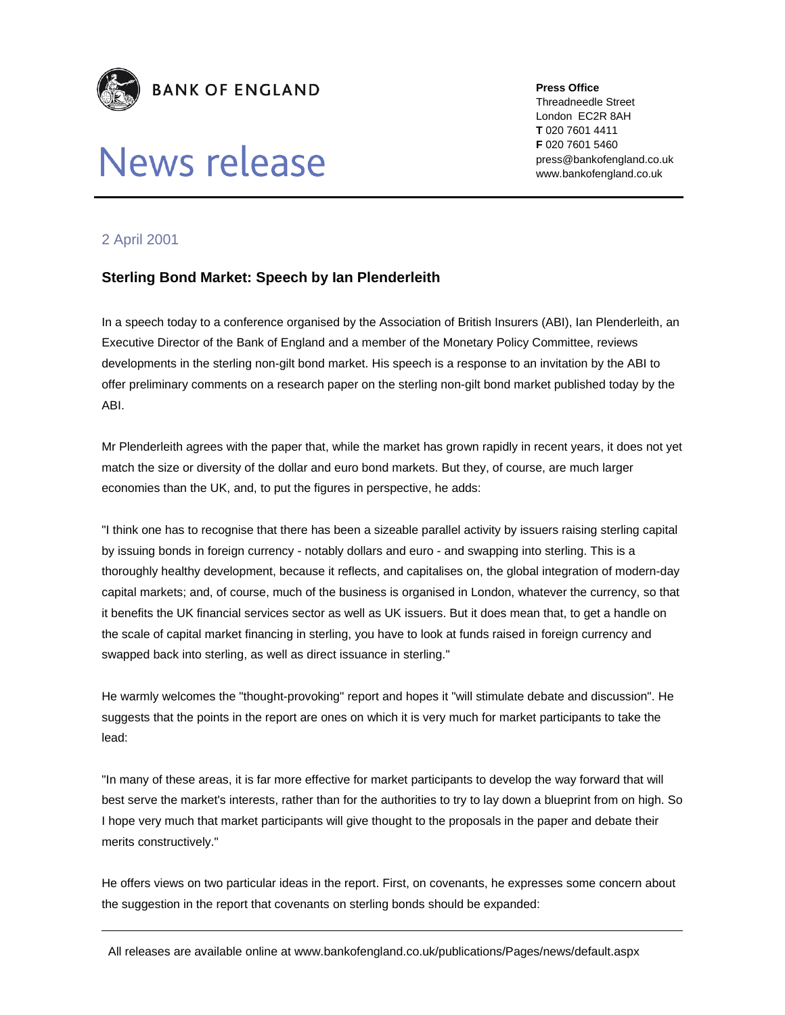

# News release

**Press Office** 

Threadneedle Street London EC2R 8AH **T** 020 7601 4411 **F** 020 7601 5460 press@bankofengland.co.uk www.bankofengland.co.uk

## 2 April 2001

## **Sterling Bond Market: Speech by Ian Plenderleith**

In a speech today to a conference organised by the Association of British Insurers (ABI), Ian Plenderleith, an Executive Director of the Bank of England and a member of the Monetary Policy Committee, reviews developments in the sterling non-gilt bond market. His speech is a response to an invitation by the ABI to offer preliminary comments on a research paper on the sterling non-gilt bond market published today by the ABI.

Mr Plenderleith agrees with the paper that, while the market has grown rapidly in recent years, it does not yet match the size or diversity of the dollar and euro bond markets. But they, of course, are much larger economies than the UK, and, to put the figures in perspective, he adds:

"I think one has to recognise that there has been a sizeable parallel activity by issuers raising sterling capital by issuing bonds in foreign currency - notably dollars and euro - and swapping into sterling. This is a thoroughly healthy development, because it reflects, and capitalises on, the global integration of modern-day capital markets; and, of course, much of the business is organised in London, whatever the currency, so that it benefits the UK financial services sector as well as UK issuers. But it does mean that, to get a handle on the scale of capital market financing in sterling, you have to look at funds raised in foreign currency and swapped back into sterling, as well as direct issuance in sterling."

He warmly welcomes the "thought-provoking" report and hopes it "will stimulate debate and discussion". He suggests that the points in the report are ones on which it is very much for market participants to take the lead:

"In many of these areas, it is far more effective for market participants to develop the way forward that will best serve the market's interests, rather than for the authorities to try to lay down a blueprint from on high. So I hope very much that market participants will give thought to the proposals in the paper and debate their merits constructively."

He offers views on two particular ideas in the report. First, on covenants, he expresses some concern about the suggestion in the report that covenants on sterling bonds should be expanded: